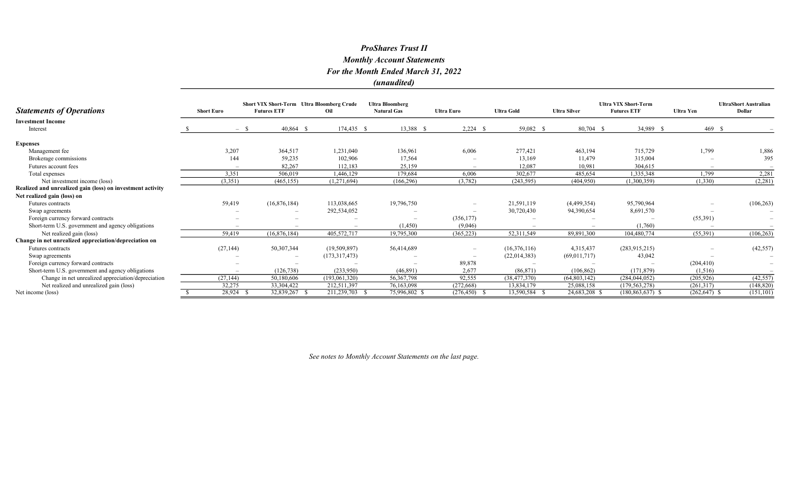| <b>Statements of Operations</b>                            | <b>Short Euro</b> | <b>Short VIX Short-Term Ultra Bloomberg Crude</b><br><b>Futures ETF</b> | Oil           | <b>Ultra Bloomberg</b><br><b>Natural Gas</b> | <b>Ultra Euro</b>        | <b>Ultra Gold</b> | <b>Ultra Silver</b> | <b>Ultra VIX Short-Term</b><br><b>Futures ETF</b> | <b>Ultra Yen</b> | <b>UltraShort Australian</b><br><b>Dollar</b> |
|------------------------------------------------------------|-------------------|-------------------------------------------------------------------------|---------------|----------------------------------------------|--------------------------|-------------------|---------------------|---------------------------------------------------|------------------|-----------------------------------------------|
| <b>Investment Income</b>                                   |                   |                                                                         |               |                                              |                          |                   |                     |                                                   |                  |                                               |
| Interest                                                   |                   | $40,864$ \$<br>$-$ \$                                                   | $174,435$ \$  | 13,388 \$                                    | $2,224$ \$               | 59,082 \$         | 80,704 \$           | 34,989 \$                                         | 469 \$           |                                               |
| <b>Expenses</b>                                            |                   |                                                                         |               |                                              |                          |                   |                     |                                                   |                  |                                               |
| Management fee                                             | 3,207             | 364,517                                                                 | 1,231,040     | 136,961                                      | 6,006                    | 277,421           | 463,194             | 715,729                                           | 1,799            | 1,886                                         |
| Brokerage commissions                                      | 144               | 59,235                                                                  | 102,906       | 17,564                                       |                          | 13,169            | 11,479              | 315,004                                           |                  | 395                                           |
| Futures account fees                                       |                   | 82,267                                                                  | 112,183       | 25,159                                       |                          | 12,087            | 10,981              | 304,615                                           |                  |                                               |
| Total expenses                                             | 3,351             | 506,019                                                                 | 1,446,129     | 179,684                                      | 6,006                    | 302,677           | 485,654             | 1,335,348                                         | 1,799            | 2,281                                         |
| Net investment income (loss)                               | (3,351)           | (465, 155)                                                              | (1,271,694)   | (166, 296)                                   | (3,782)                  | (243, 595)        | (404,950)           | (1,300,359)                                       | (1,330)          | (2,281)                                       |
| Realized and unrealized gain (loss) on investment activity |                   |                                                                         |               |                                              |                          |                   |                     |                                                   |                  |                                               |
| Net realized gain (loss) on                                |                   |                                                                         |               |                                              |                          |                   |                     |                                                   |                  |                                               |
| Futures contracts                                          | 59,419            | (16,876,184)                                                            | 113,038,665   | 19,796,750                                   |                          | 21,591,119        | (4,499,354)         | 95,790,964                                        |                  | (106, 263)                                    |
| Swap agreements                                            |                   |                                                                         | 292,534,052   |                                              |                          | 30,720,430        | 94,390,654          | 8,691,570                                         |                  |                                               |
| Foreign currency forward contracts                         |                   |                                                                         |               | $\overline{\phantom{a}}$                     | (356, 177)               |                   |                     |                                                   | (55,391)         |                                               |
| Short-term U.S. government and agency obligations          |                   |                                                                         |               | (1,450)                                      | (9,046)                  |                   |                     | (1,760)                                           |                  |                                               |
| Net realized gain (loss)                                   | 59,419            | (16,876,184)                                                            | 405,572,717   | 19,795,300                                   | (365, 223)               | 52,311,549        | 89,891,300          | 104,480,774                                       | (55,391)         | (106, 263)                                    |
| Change in net unrealized appreciation/depreciation on      |                   |                                                                         |               |                                              |                          |                   |                     |                                                   |                  |                                               |
| Futures contracts                                          | (27, 144)         | 50,307,344                                                              | (19,509,897)  | 56,414,689                                   | $\overline{\phantom{a}}$ | (16,376,116)      | 4,315,437           | (283, 915, 215)                                   |                  | (42, 557)                                     |
| Swap agreements                                            |                   | $\overline{\phantom{a}}$                                                | (173,317,473) |                                              |                          | (22,014,383)      | (69,011,717)        | 43,042                                            |                  |                                               |
| Foreign currency forward contracts                         |                   |                                                                         |               |                                              | 89,878                   |                   |                     |                                                   | (204, 410)       |                                               |
| Short-term U.S. government and agency obligations          |                   | (126, 738)                                                              | (233,950)     | (46,891)                                     | 2,677                    | (86, 871)         | (106, 862)          | (171, 879)                                        | (1,516)          |                                               |
| Change in net unrealized appreciation/depreciation         | (27, 144)         | 50,180,606                                                              | (193,061,320) | 56, 367, 798                                 | 92,555                   | (38, 477, 370)    | (64, 803, 142)      | (284, 044, 052)                                   | (205, 926)       | (42, 557)                                     |
| Net realized and unrealized gain (loss)                    | 32,275            | 33, 304, 422                                                            | 212,511,397   | 76,163,098                                   | (272, 668)               | 13,834,179        | 25,088,158          | (179, 563, 278)                                   | (261,317)        | (148, 820)                                    |
| Net income (loss)                                          | 28,924            | 32,839,267                                                              | 211,239,703   | 75,996,802 \$                                | (276, 450)               | 13,590,584        | 24,683,208 \$       | $(180, 863, 637)$ \$                              | $(262, 647)$ \$  | (151, 101)                                    |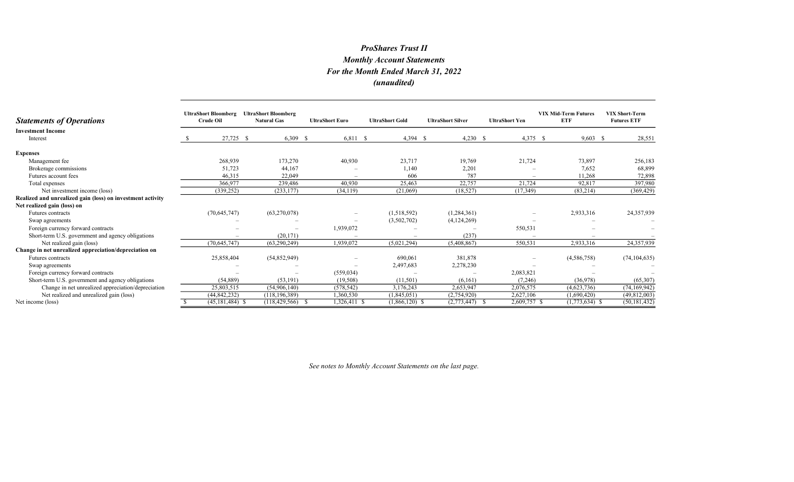| <b>Statements of Operations</b>                            | <b>UltraShort Bloomberg</b><br><b>Crude Oil</b> | <b>UltraShort Bloomberg</b><br><b>Natural Gas</b> | <b>UltraShort Euro</b> | <b>UltraShort Gold</b> | <b>UltraShort Silver</b> | <b>UltraShort Yen</b> | <b>VIX Mid-Term Futures</b><br><b>ETF</b> | <b>VIX Short-Term</b><br><b>Futures ETF</b> |
|------------------------------------------------------------|-------------------------------------------------|---------------------------------------------------|------------------------|------------------------|--------------------------|-----------------------|-------------------------------------------|---------------------------------------------|
| <b>Investment Income</b><br>Interest                       | 27,725 \$                                       | $6,309$ \$                                        | $6,811$ \$             | $4,394$ \$             | $4,230$ \$               | $4,375$ \$            | $9,603$ \$                                | 28,551                                      |
|                                                            |                                                 |                                                   |                        |                        |                          |                       |                                           |                                             |
| <b>Expenses</b>                                            |                                                 |                                                   |                        |                        |                          |                       |                                           |                                             |
| Management fee                                             | 268,939                                         | 173,270                                           | 40,930                 | 23,717                 | 19,769                   | 21,724                | 73,897                                    | 256,183                                     |
| Brokerage commissions                                      | 51,723                                          | 44,167                                            |                        | 1,140                  | 2,201                    |                       | 7,652                                     | 68,899                                      |
| Futures account fees                                       | 46,315                                          | 22,049                                            |                        | 606                    | 787                      |                       | 11,268                                    | 72,898                                      |
| Total expenses                                             | 366,977                                         | 239,486                                           | 40,930                 | 25,463                 | 22,757                   | 21,724                | 92,817                                    | 397,980                                     |
| Net investment income (loss)                               | (339, 252)                                      | (233, 177)                                        | (34, 119)              | (21,069)               | (18, 527)                | (17, 349)             | (83,214)                                  | (369, 429)                                  |
| Realized and unrealized gain (loss) on investment activity |                                                 |                                                   |                        |                        |                          |                       |                                           |                                             |
| Net realized gain (loss) on                                |                                                 |                                                   |                        |                        |                          |                       |                                           |                                             |
| <b>Futures</b> contracts                                   | (70,645,747)                                    | (63,270,078)                                      |                        | (1,518,592)            | (1,284,361)              |                       | 2,933,316                                 | 24,357,939                                  |
| Swap agreements                                            |                                                 |                                                   |                        | (3,502,702)            | (4,124,269)              |                       |                                           |                                             |
| Foreign currency forward contracts                         |                                                 | $\overline{\phantom{a}}$                          | 1,939,072              |                        |                          | 550,531               |                                           |                                             |
| Short-term U.S. government and agency obligations          |                                                 | (20, 171)                                         |                        |                        | (237)                    |                       |                                           |                                             |
| Net realized gain (loss)                                   | (70, 645, 747)                                  | (63,290,249)                                      | 1,939,072              | (5,021,294)            | (5,408,867)              | 550,531               | 2,933,316                                 | 24,357,939                                  |
| Change in net unrealized appreciation/depreciation on      |                                                 |                                                   |                        |                        |                          |                       |                                           |                                             |
| <b>Futures</b> contracts                                   | 25,858,404                                      | (54, 852, 949)                                    |                        | 690,061                | 381,878                  |                       | (4,586,758)                               | (74, 104, 635)                              |
| Swap agreements                                            |                                                 |                                                   |                        | 2,497,683              | 2,278,230                |                       |                                           |                                             |
| Foreign currency forward contracts                         |                                                 |                                                   | (559, 034)             |                        |                          | 2,083,821             |                                           |                                             |
| Short-term U.S. government and agency obligations          | (54, 889)                                       | (53, 191)                                         | (19,508)               | (11,501)               | (6,161)                  | (7,246)               | (36,978)                                  | (65,307)                                    |
| Change in net unrealized appreciation/depreciation         | 25,803,515                                      | (54,906,140)                                      | (578, 542)             | 3,176,243              | 2,653,947                | 2,076,575             | (4,623,736)                               | (74, 169, 942)                              |
| Net realized and unrealized gain (loss)                    | (44, 842, 232)                                  | (118, 196, 389)                                   | 1,360,530              | (1,845,051)            | (2,754,920)              | 2,627,106             | (1,690,420)                               | (49,812,003)                                |
| Net income (loss)                                          | $(45, 181, 484)$ \$                             | (118, 429, 566)                                   | 1,326,411 \$           | $(1,866,120)$ \$       | (2,773,447)              | $2,609,757$ \$        | $(1,773,634)$ \$                          | (50, 181, 432)                              |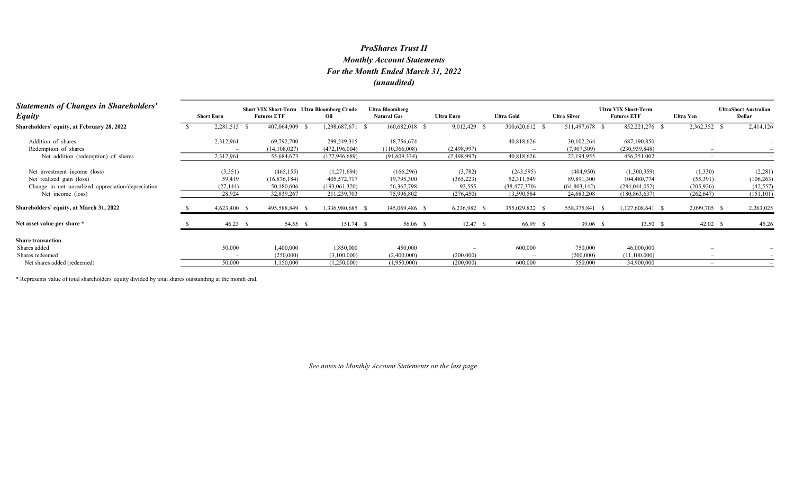| <b>Statements of Changes in Shareholders'</b><br><b>Equity</b> | <b>Short Euro</b> | <b>Futures ETF</b> | <b>Short VIX Short-Term</b> Ultra Bloomberg Crude<br>Oil | <b>Ultra Bloomberg</b><br><b>Natural Gas</b> | <b>Ultra Euro</b> | <b>Ultra Gold</b> | <b>Ultra Silver</b> | <b>Ultra VIX Short-Term</b><br><b>Futures ETF</b> | Ultra Yen                | <b>UltraShort Australian</b><br>Dollar |
|----------------------------------------------------------------|-------------------|--------------------|----------------------------------------------------------|----------------------------------------------|-------------------|-------------------|---------------------|---------------------------------------------------|--------------------------|----------------------------------------|
| Shareholders' equity, at February 28, 2022                     | 2,281,515 \$      | 407,064,909        | 1,298,687,671                                            | 160,682,018 \$<br>- S                        | 9,012,429         | 300,620,612 \$    | 511,497,678 \$      | 852,221,276 \$                                    | 2,362,352                | 2,414,126                              |
| Addition of shares                                             | 2,312,961         | 69,792,700         | 299,249,315                                              | 18,756,674                                   |                   | 40,818,626        | 30,102,264          | 687,190,850                                       |                          |                                        |
| Redemption of shares                                           |                   | (14, 108, 027)     | (472, 196, 004)                                          | (110, 366, 008)                              | (2,498,997)       |                   | (7,907,309)         | (230, 939, 848)                                   |                          |                                        |
| Net addition (redemption) of shares                            | 2,312,961         | 55,684,673         | (172, 946, 689)                                          | (91,609,334)                                 | (2,498,997)       | 40,818,626        | 22,194,955          | 456,251,002                                       | $\overline{\phantom{a}}$ |                                        |
| Net investment income (loss)                                   | (3,351)           | (465, 155)         | (1,271,694)                                              | (166, 296)                                   | (3,782)           | (243, 595)        | (404,950)           | (1,300,359)                                       | (1,330)                  | (2,281)                                |
| Net realized gain (loss)                                       | 59,419            | (16,876,184)       | 405,572,717                                              | 19,795,300                                   | (365, 223)        | 52,311,549        | 89,891,300          | 104,480,774                                       | (55,391)                 | (106, 263)                             |
| Change in net unrealized appreciation/depreciation             | (27, 144)         | 50,180,606         | (193,061,320)                                            | 56, 367, 798                                 | 92,555            | (38, 477, 370)    | (64,803,142)        | (284, 044, 052)                                   | (205, 926)               | (42, 557)                              |
| Net income (loss)                                              | 28,924            | 32,839,267         | 211,239,703                                              | 75,996,802                                   | (276, 450)        | 13,590,584        | 24,683,208          | (180, 863, 637)                                   | (262, 647)               | (151, 101)                             |
| Shareholders' equity, at March 31, 2022                        | 4,623,400 \$      | 495,588,849 \$     | 1,336,980,685 \$                                         | 145,069,486 \$                               | 6,236,982         | 355,029,822 \$    | 558,375,841         | 1,127,608,641 \$                                  | 2,099,705 \$             | 2,263,025                              |
| Net asset value per share *                                    | $46.23$ \$        | 54.55 \$           | 151.74 \$                                                | 56.06 \$                                     | 12.47 S           | 66.99 \$          | 39.06 \$            | 13.50 S                                           | $42.02 \quad$ \$         | 45.26                                  |
| <b>Share transaction</b>                                       |                   |                    |                                                          |                                              |                   |                   |                     |                                                   |                          |                                        |
| Shares added                                                   | 50,000            | 1,400,000          | 1,850,000                                                | 450,000                                      |                   | 600,000           | 750,000             | 46,000,000                                        |                          |                                        |
| Shares redeemed                                                |                   | (250,000)          | (3,100,000)                                              | (2,400,000)                                  | (200,000)         |                   | (200,000)           | (11,100,000)                                      |                          |                                        |
| Net shares added (redeemed)                                    | 50,000            | 1,150,000          | (1,250,000)                                              | (1,950,000)                                  | (200,000)         | 600,000           | 550,000             | 34,900,000                                        |                          |                                        |

\* Represents value of total shareholders' equity divided by total shares outstanding at the month end.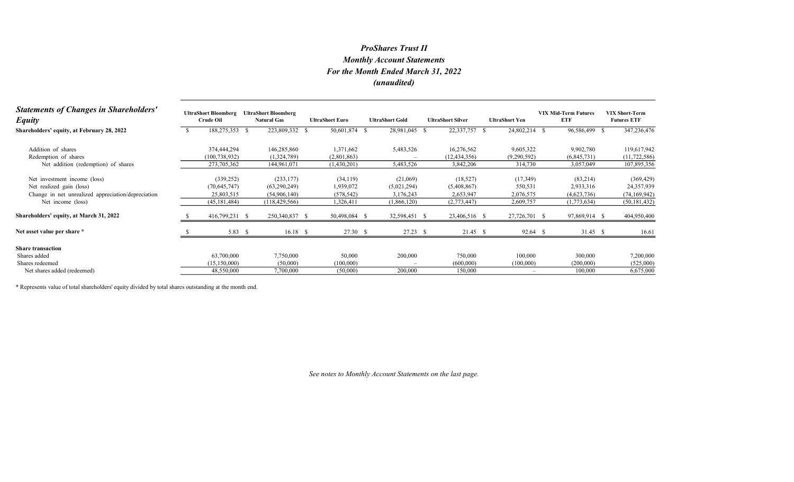| <b>Statements of Changes in Shareholders'</b><br><b>Equity</b> | <b>UltraShort Bloomberg</b><br>Crude Oil | <b>UltraShort Bloomberg</b><br><b>Natural Gas</b> | <b>UltraShort Euro</b> | <b>UltraShort Gold</b> | <b>UltraShort Silver</b> | <b>UltraShort Yen</b>    | <b>VIX Mid-Term Futures</b><br><b>ETF</b> | <b>VIX Short-Term</b><br><b>Futures ETF</b> |
|----------------------------------------------------------------|------------------------------------------|---------------------------------------------------|------------------------|------------------------|--------------------------|--------------------------|-------------------------------------------|---------------------------------------------|
| Shareholders' equity, at February 28, 2022                     | 188,275,353 \$                           | 223,809,332 \$                                    | 50,601,874 \$          | 28,981,045 \$          | 22,337,757               | 24,802,214 \$<br>- S     | 96,586,499                                | 347,236,476<br>- \$                         |
| Addition of shares                                             | 374,444,294                              | 146,285,860                                       | 1,371,662              | 5,483,526              | 16,276,562               | 9,605,322                | 9,902,780                                 | 119,617,942                                 |
| Redemption of shares                                           | (100, 738, 932)                          | (1,324,789)                                       | (2,801,863)            |                        | (12, 434, 356)           | (9,290,592)              | (6,845,731)                               | (11, 722, 586)                              |
| Net addition (redemption) of shares                            | 273,705,362                              | 144,961,071                                       | (1,430,201)            | 5,483,526              | 3,842,206                | 314,730                  | 3,057,049                                 | 107,895,356                                 |
| Net investment income (loss)                                   | (339, 252)                               | (233, 177)                                        | (34, 119)              | (21,069)               | (18, 527)                | (17, 349)                | (83,214)                                  | (369, 429)                                  |
| Net realized gain (loss)                                       | (70, 645, 747)                           | (63,290,249)                                      | 1,939,072              | (5,021,294)            | (5,408,867)              | 550,531                  | 2,933,316                                 | 24,357,939                                  |
| Change in net unrealized appreciation/depreciation             | 25,803,515                               | (54,906,140)                                      | (578, 542)             | 3,176,243              | 2,653,947                | 2,076,575                | (4,623,736)                               | (74, 169, 942)                              |
| Net income (loss)                                              | (45, 181, 484)                           | (118, 429, 566)                                   | 1,326,411              | (1,866,120)            | (2,773,447)              | 2,609,757                | (1,773,634)                               | (50, 181, 432)                              |
| Shareholders' equity, at March 31, 2022                        | 416,799,231 \$                           | 250,340,837 \$                                    | 50,498,084 \$          | 32,598,451 \$          | 23,406,516 \$            | 27,726,701 \$            | 97,869,914 \$                             | 404,950,400                                 |
| Net asset value per share *                                    | 5.83 $\sqrt{ }$                          | $16.18\quad$                                      | 27.30 \$               | $27.23$ \$             | $21.45$ \$               | 92.64 \$                 | $31.45$ \$                                | 16.61                                       |
| <b>Share transaction</b>                                       |                                          |                                                   |                        |                        |                          |                          |                                           |                                             |
| Shares added                                                   | 63,700,000                               | 7,750,000                                         | 50,000                 | 200,000                | 750,000                  | 100,000                  | 300,000                                   | 7,200,000                                   |
| Shares redeemed                                                | (15, 150, 000)                           | (50,000)                                          | (100,000)              |                        | (600,000)                | (100,000)                | (200,000)                                 | (525,000)                                   |
| Net shares added (redeemed)                                    | 48,550,000                               | 7,700,000                                         | (50,000)               | 200,000                | 150,000                  | $\overline{\phantom{a}}$ | 100,000                                   | 6,675,000                                   |

\* Represents value of total shareholders' equity divided by total shares outstanding at the month end.